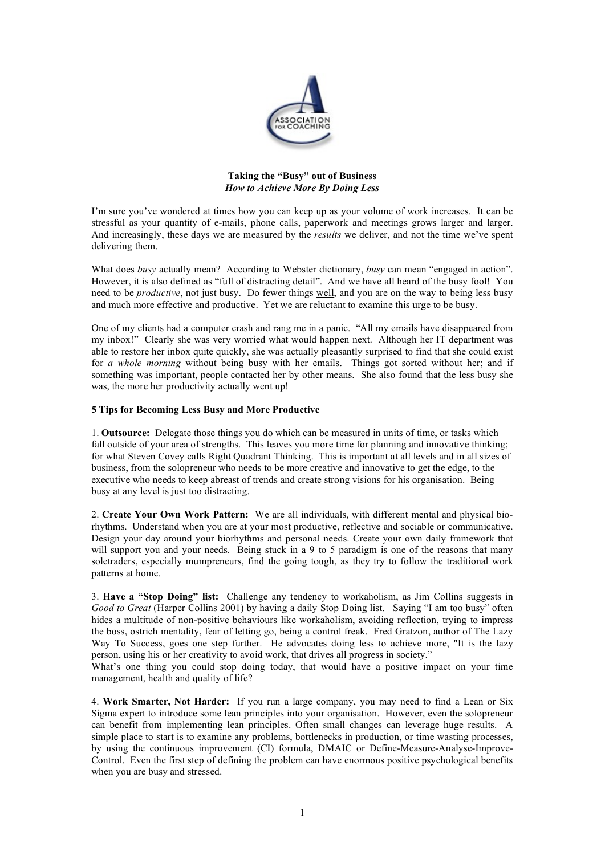

## Taking the "Busy" out of Business *How to Achieve More By Doing Less*

I'm sure you've wondered at times how you can keep up as your volume of work increases. It can be stressful as your quantity of e-mails, phone calls, paperwork and meetings grows larger and larger. And increasingly, these days we are measured by the *results* we deliver, and not the time we've spent delivering them.

What does *busy* actually mean? According to Webster dictionary, *busy* can mean "engaged in action". However, it is also defined as "full of distracting detail". And we have all heard of the busy fool! You need to be *productive*, not just busy. Do fewer things well, and you are on the way to being less busy and much more effective and productive. Yet we are reluctant to examine this urge to be busy.

One of my clients had a computer crash and rang me in a panic. "All my emails have disappeared from my inbox!" Clearly she was very worried what would happen next. Although her IT department was able to restore her inbox quite quickly, she was actually pleasantly surprised to find that she could exist for *a whole morning* without being busy with her emails. Things got sorted without her; and if something was important, people contacted her by other means. She also found that the less busy she was, the more her productivity actually went up!

## 5 Tips for Becoming Less Busy and More Productive

1. Outsource: Delegate those things you do which can be measured in units of time, or tasks which fall outside of your area of strengths. This leaves you more time for planning and innovative thinking; for what Steven Covey calls Right Quadrant Thinking. This is important at all levels and in all sizes of business, from the solopreneur who needs to be more creative and innovative to get the edge, to the executive who needs to keep abreast of trends and create strong visions for his organisation. Being busy at any level is just too distracting.

2. Create Your Own Work Pattern: We are all individuals, with different mental and physical biorhythms. Understand when you are at your most productive, reflective and sociable or communicative. Design your day around your biorhythms and personal needs. Create your own daily framework that will support you and your needs. Being stuck in a 9 to 5 paradigm is one of the reasons that many soletraders, especially mumpreneurs, find the going tough, as they try to follow the traditional work patterns at home.

3. Have a "Stop Doing" list: Challenge any tendency to workaholism, as Jim Collins suggests in *Good to Great* (Harper Collins 2001) by having a daily Stop Doing list. Saying "I am too busy" often hides a multitude of non-positive behaviours like workaholism, avoiding reflection, trying to impress the boss, ostrich mentality, fear of letting go, being a control freak. Fred Gratzon, author of The Lazy Way To Success, goes one step further. He advocates doing less to achieve more, "It is the lazy person, using his or her creativity to avoid work, that drives all progress in society."

What's one thing you could stop doing today, that would have a positive impact on your time management, health and quality of life?

4. Work Smarter, Not Harder: If you run a large company, you may need to find a Lean or Six Sigma expert to introduce some lean principles into your organisation. However, even the solopreneur can benefit from implementing lean principles. Often small changes can leverage huge results. A simple place to start is to examine any problems, bottlenecks in production, or time wasting processes, by using the continuous improvement (CI) formula, DMAIC or Define-Measure-Analyse-Improve-Control. Even the first step of defining the problem can have enormous positive psychological benefits when you are busy and stressed.